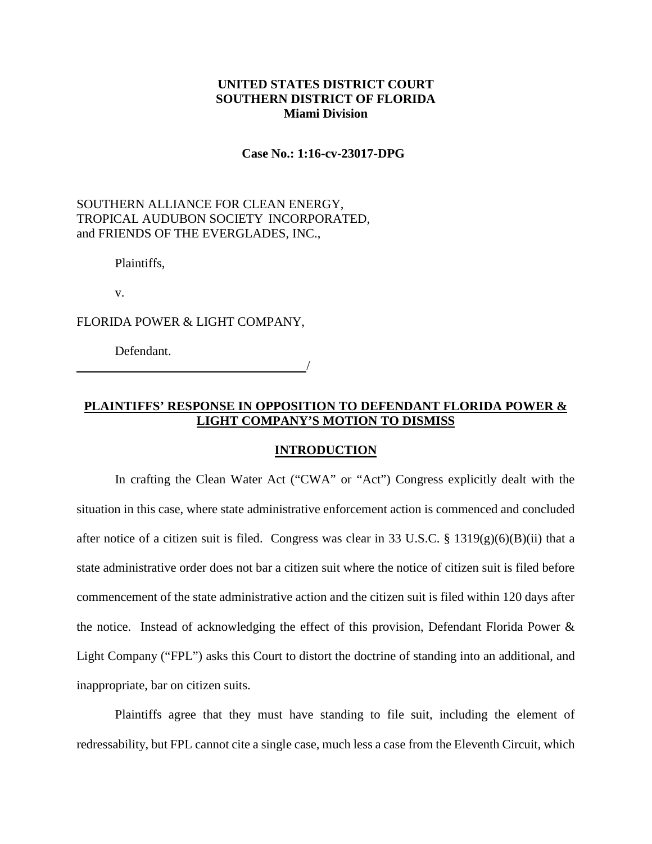## **UNITED STATES DISTRICT COURT SOUTHERN DISTRICT OF FLORIDA Miami Division**

### **Case No.: 1:16-cv-23017-DPG**

## SOUTHERN ALLIANCE FOR CLEAN ENERGY, TROPICAL AUDUBON SOCIETY INCORPORATED, and FRIENDS OF THE EVERGLADES, INC.,

Plaintiffs,

v.

FLORIDA POWER & LIGHT COMPANY,

Defendant.

# **PLAINTIFFS' RESPONSE IN OPPOSITION TO DEFENDANT FLORIDA POWER & LIGHT COMPANY'S MOTION TO DISMISS**

/

### **INTRODUCTION**

In crafting the Clean Water Act ("CWA" or "Act") Congress explicitly dealt with the situation in this case, where state administrative enforcement action is commenced and concluded after notice of a citizen suit is filed. Congress was clear in 33 U.S.C. § 1319 $(g)(6)(B)(ii)$  that a state administrative order does not bar a citizen suit where the notice of citizen suit is filed before commencement of the state administrative action and the citizen suit is filed within 120 days after the notice. Instead of acknowledging the effect of this provision, Defendant Florida Power & Light Company ("FPL") asks this Court to distort the doctrine of standing into an additional, and inappropriate, bar on citizen suits.

Plaintiffs agree that they must have standing to file suit, including the element of redressability, but FPL cannot cite a single case, much less a case from the Eleventh Circuit, which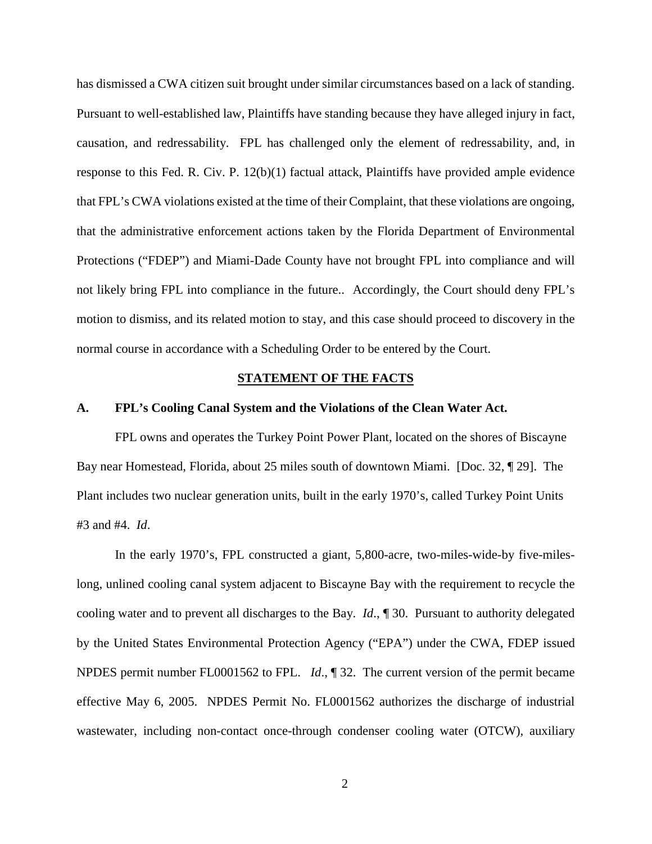has dismissed a CWA citizen suit brought under similar circumstances based on a lack of standing. Pursuant to well-established law, Plaintiffs have standing because they have alleged injury in fact, causation, and redressability. FPL has challenged only the element of redressability, and, in response to this Fed. R. Civ. P. 12(b)(1) factual attack, Plaintiffs have provided ample evidence that FPL's CWA violations existed at the time of their Complaint, that these violations are ongoing, that the administrative enforcement actions taken by the Florida Department of Environmental Protections ("FDEP") and Miami-Dade County have not brought FPL into compliance and will not likely bring FPL into compliance in the future.. Accordingly, the Court should deny FPL's motion to dismiss, and its related motion to stay, and this case should proceed to discovery in the normal course in accordance with a Scheduling Order to be entered by the Court.

#### **STATEMENT OF THE FACTS**

#### **A. FPL's Cooling Canal System and the Violations of the Clean Water Act.**

FPL owns and operates the Turkey Point Power Plant, located on the shores of Biscayne Bay near Homestead, Florida, about 25 miles south of downtown Miami. [Doc. 32, ¶ 29]. The Plant includes two nuclear generation units, built in the early 1970's, called Turkey Point Units #3 and #4. *Id*.

In the early 1970's, FPL constructed a giant, 5,800-acre, two-miles-wide-by five-mileslong, unlined cooling canal system adjacent to Biscayne Bay with the requirement to recycle the cooling water and to prevent all discharges to the Bay. *Id*., ¶ 30. Pursuant to authority delegated by the United States Environmental Protection Agency ("EPA") under the CWA, FDEP issued NPDES permit number FL0001562 to FPL. *Id*., ¶ 32. The current version of the permit became effective May 6, 2005. NPDES Permit No. FL0001562 authorizes the discharge of industrial wastewater, including non-contact once-through condenser cooling water (OTCW), auxiliary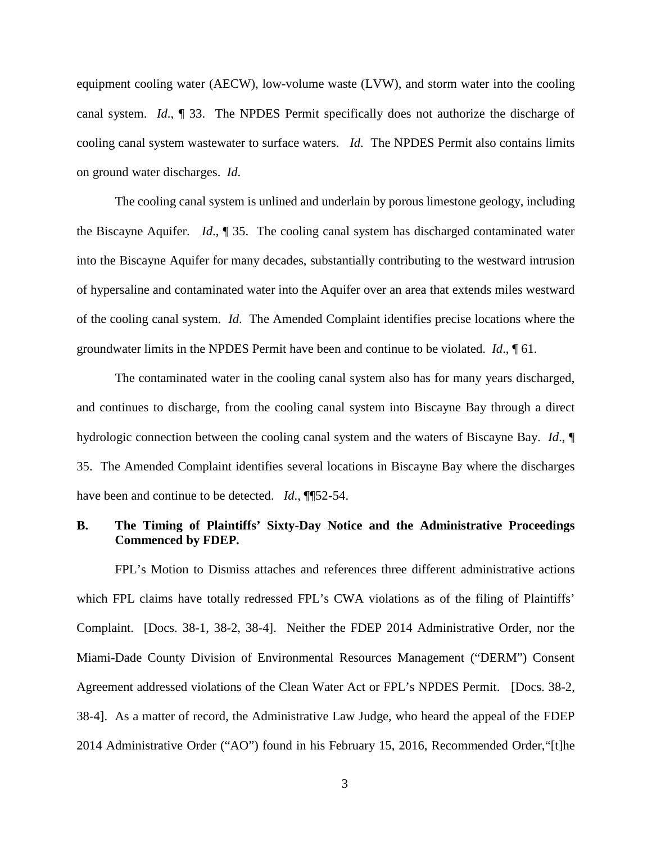equipment cooling water (AECW), low-volume waste (LVW), and storm water into the cooling canal system. *Id*., ¶ 33. The NPDES Permit specifically does not authorize the discharge of cooling canal system wastewater to surface waters. *Id*. The NPDES Permit also contains limits on ground water discharges. *Id*.

The cooling canal system is unlined and underlain by porous limestone geology, including the Biscayne Aquifer. *Id*., ¶ 35. The cooling canal system has discharged contaminated water into the Biscayne Aquifer for many decades, substantially contributing to the westward intrusion of hypersaline and contaminated water into the Aquifer over an area that extends miles westward of the cooling canal system. *Id*. The Amended Complaint identifies precise locations where the groundwater limits in the NPDES Permit have been and continue to be violated. *Id*., ¶ 61.

The contaminated water in the cooling canal system also has for many years discharged, and continues to discharge, from the cooling canal system into Biscayne Bay through a direct hydrologic connection between the cooling canal system and the waters of Biscayne Bay. *Id*., ¶ 35. The Amended Complaint identifies several locations in Biscayne Bay where the discharges have been and continue to be detected. *Id.*, **¶** 52-54.

## **B. The Timing of Plaintiffs' Sixty-Day Notice and the Administrative Proceedings Commenced by FDEP.**

FPL's Motion to Dismiss attaches and references three different administrative actions which FPL claims have totally redressed FPL's CWA violations as of the filing of Plaintiffs' Complaint. [Docs. 38-1, 38-2, 38-4]. Neither the FDEP 2014 Administrative Order, nor the Miami-Dade County Division of Environmental Resources Management ("DERM") Consent Agreement addressed violations of the Clean Water Act or FPL's NPDES Permit. [Docs. 38-2, 38-4]. As a matter of record, the Administrative Law Judge, who heard the appeal of the FDEP 2014 Administrative Order ("AO") found in his February 15, 2016, Recommended Order,"[t]he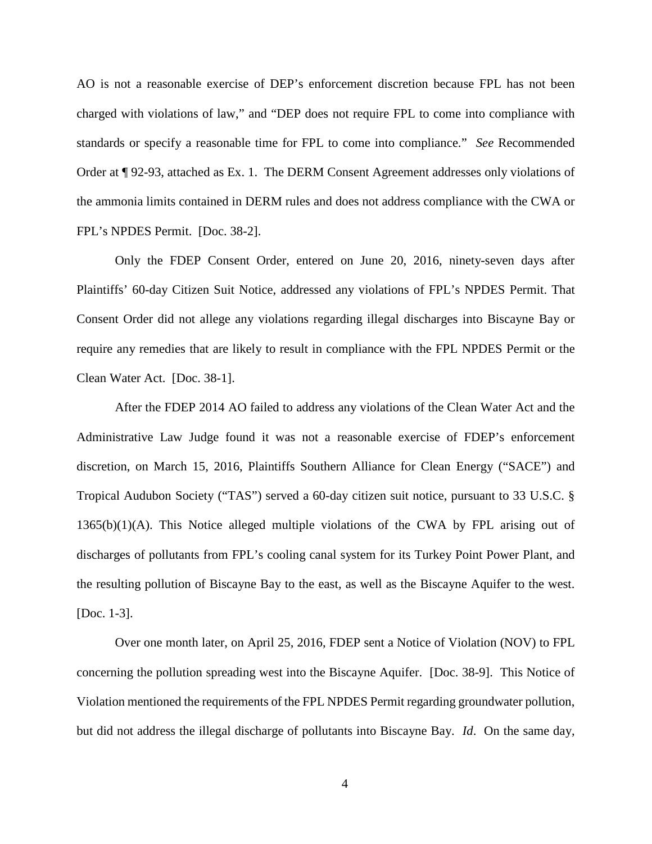AO is not a reasonable exercise of DEP's enforcement discretion because FPL has not been charged with violations of law," and "DEP does not require FPL to come into compliance with standards or specify a reasonable time for FPL to come into compliance." *See* Recommended Order at ¶ 92-93, attached as Ex. 1. The DERM Consent Agreement addresses only violations of the ammonia limits contained in DERM rules and does not address compliance with the CWA or FPL's NPDES Permit. [Doc. 38-2].

Only the FDEP Consent Order, entered on June 20, 2016, ninety-seven days after Plaintiffs' 60-day Citizen Suit Notice, addressed any violations of FPL's NPDES Permit. That Consent Order did not allege any violations regarding illegal discharges into Biscayne Bay or require any remedies that are likely to result in compliance with the FPL NPDES Permit or the Clean Water Act. [Doc. 38-1].

After the FDEP 2014 AO failed to address any violations of the Clean Water Act and the Administrative Law Judge found it was not a reasonable exercise of FDEP's enforcement discretion, on March 15, 2016, Plaintiffs Southern Alliance for Clean Energy ("SACE") and Tropical Audubon Society ("TAS") served a 60-day citizen suit notice, pursuant to 33 U.S.C. § 1365(b)(1)(A). This Notice alleged multiple violations of the CWA by FPL arising out of discharges of pollutants from FPL's cooling canal system for its Turkey Point Power Plant, and the resulting pollution of Biscayne Bay to the east, as well as the Biscayne Aquifer to the west. [Doc. 1-3].

Over one month later, on April 25, 2016, FDEP sent a Notice of Violation (NOV) to FPL concerning the pollution spreading west into the Biscayne Aquifer. [Doc. 38-9]. This Notice of Violation mentioned the requirements of the FPL NPDES Permit regarding groundwater pollution, but did not address the illegal discharge of pollutants into Biscayne Bay. *Id*. On the same day,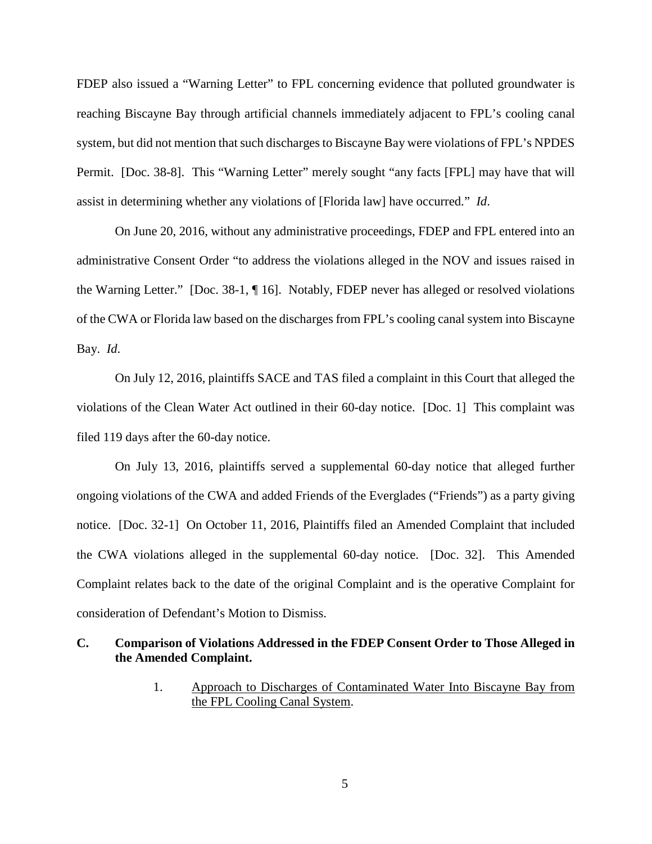FDEP also issued a "Warning Letter" to FPL concerning evidence that polluted groundwater is reaching Biscayne Bay through artificial channels immediately adjacent to FPL's cooling canal system, but did not mention that such discharges to Biscayne Bay were violations of FPL's NPDES Permit. [Doc. 38-8]. This "Warning Letter" merely sought "any facts [FPL] may have that will assist in determining whether any violations of [Florida law] have occurred." *Id*.

On June 20, 2016, without any administrative proceedings, FDEP and FPL entered into an administrative Consent Order "to address the violations alleged in the NOV and issues raised in the Warning Letter." [Doc. 38-1, ¶ 16]. Notably, FDEP never has alleged or resolved violations of the CWA or Florida law based on the discharges from FPL's cooling canal system into Biscayne Bay. *Id*.

On July 12, 2016, plaintiffs SACE and TAS filed a complaint in this Court that alleged the violations of the Clean Water Act outlined in their 60-day notice. [Doc. 1] This complaint was filed 119 days after the 60-day notice.

On July 13, 2016, plaintiffs served a supplemental 60-day notice that alleged further ongoing violations of the CWA and added Friends of the Everglades ("Friends") as a party giving notice. [Doc. 32-1] On October 11, 2016, Plaintiffs filed an Amended Complaint that included the CWA violations alleged in the supplemental 60-day notice. [Doc. 32]. This Amended Complaint relates back to the date of the original Complaint and is the operative Complaint for consideration of Defendant's Motion to Dismiss.

## **C. Comparison of Violations Addressed in the FDEP Consent Order to Those Alleged in the Amended Complaint.**

1. Approach to Discharges of Contaminated Water Into Biscayne Bay from the FPL Cooling Canal System.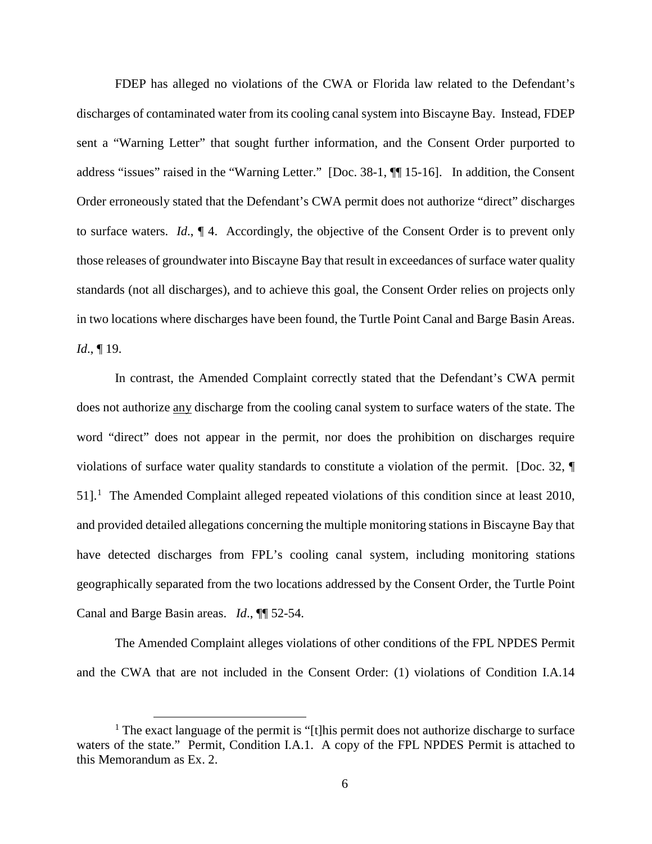FDEP has alleged no violations of the CWA or Florida law related to the Defendant's discharges of contaminated water from its cooling canal system into Biscayne Bay. Instead, FDEP sent a "Warning Letter" that sought further information, and the Consent Order purported to address "issues" raised in the "Warning Letter." [Doc. 38-1, ¶¶ 15-16]. In addition, the Consent Order erroneously stated that the Defendant's CWA permit does not authorize "direct" discharges to surface waters. *Id*., ¶ 4. Accordingly, the objective of the Consent Order is to prevent only those releases of groundwater into Biscayne Bay that result in exceedances of surface water quality standards (not all discharges), and to achieve this goal, the Consent Order relies on projects only in two locations where discharges have been found, the Turtle Point Canal and Barge Basin Areas. *Id*., ¶ 19.

In contrast, the Amended Complaint correctly stated that the Defendant's CWA permit does not authorize any discharge from the cooling canal system to surface waters of the state. The word "direct" does not appear in the permit, nor does the prohibition on discharges require violations of surface water quality standards to constitute a violation of the permit. [Doc. 32, ¶  $51$  $51$ ].<sup>1</sup> The Amended Complaint alleged repeated violations of this condition since at least 2010, and provided detailed allegations concerning the multiple monitoring stations in Biscayne Bay that have detected discharges from FPL's cooling canal system, including monitoring stations geographically separated from the two locations addressed by the Consent Order, the Turtle Point Canal and Barge Basin areas. *Id*., ¶¶ 52-54.

The Amended Complaint alleges violations of other conditions of the FPL NPDES Permit and the CWA that are not included in the Consent Order: (1) violations of Condition I.A.14

<span id="page-5-0"></span><sup>&</sup>lt;sup>1</sup> The exact language of the permit is "[t]his permit does not authorize discharge to surface waters of the state." Permit, Condition I.A.1. A copy of the FPL NPDES Permit is attached to this Memorandum as Ex. 2.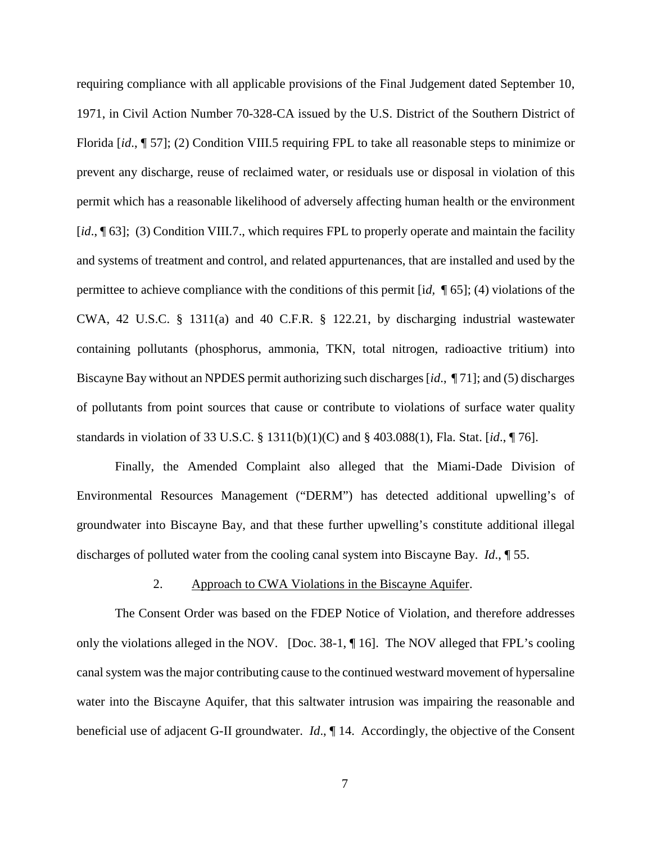requiring compliance with all applicable provisions of the Final Judgement dated September 10, 1971, in Civil Action Number 70-328-CA issued by the U.S. District of the Southern District of Florida [*id*., ¶ 57]; (2) Condition VIII.5 requiring FPL to take all reasonable steps to minimize or prevent any discharge, reuse of reclaimed water, or residuals use or disposal in violation of this permit which has a reasonable likelihood of adversely affecting human health or the environment [*id.*, ¶ 63]; (3) Condition VIII.7., which requires FPL to properly operate and maintain the facility and systems of treatment and control, and related appurtenances, that are installed and used by the permittee to achieve compliance with the conditions of this permit [i*d,* ¶ 65]; (4) violations of the CWA, 42 U.S.C. § 1311(a) and 40 C.F.R. § 122.21, by discharging industrial wastewater containing pollutants (phosphorus, ammonia, TKN, total nitrogen, radioactive tritium) into Biscayne Bay without an NPDES permit authorizing such discharges [*id*., ¶ 71]; and (5) discharges of pollutants from point sources that cause or contribute to violations of surface water quality standards in violation of 33 U.S.C. § 1311(b)(1)(C) and § 403.088(1), Fla. Stat. [*id*., ¶ 76].

Finally, the Amended Complaint also alleged that the Miami-Dade Division of Environmental Resources Management ("DERM") has detected additional upwelling's of groundwater into Biscayne Bay, and that these further upwelling's constitute additional illegal discharges of polluted water from the cooling canal system into Biscayne Bay. *Id*., ¶ 55.

## 2. Approach to CWA Violations in the Biscayne Aquifer.

The Consent Order was based on the FDEP Notice of Violation, and therefore addresses only the violations alleged in the NOV. [Doc. 38-1, ¶ 16]. The NOV alleged that FPL's cooling canal system was the major contributing cause to the continued westward movement of hypersaline water into the Biscayne Aquifer, that this saltwater intrusion was impairing the reasonable and beneficial use of adjacent G-II groundwater. *Id*., ¶ 14. Accordingly, the objective of the Consent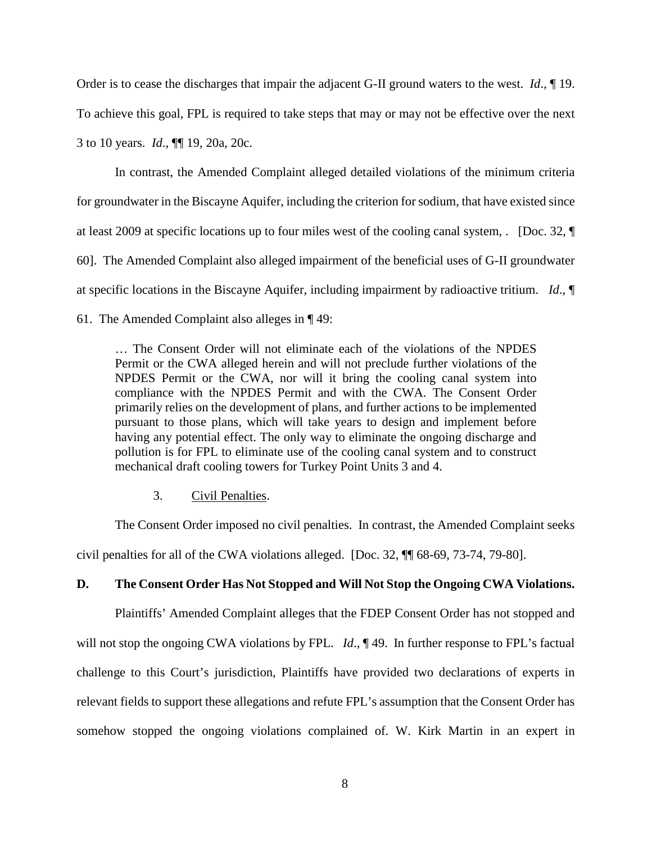Order is to cease the discharges that impair the adjacent G-II ground waters to the west. *Id*., ¶ 19. To achieve this goal, FPL is required to take steps that may or may not be effective over the next 3 to 10 years. *Id*., ¶¶ 19, 20a, 20c.

In contrast, the Amended Complaint alleged detailed violations of the minimum criteria for groundwater in the Biscayne Aquifer, including the criterion for sodium, that have existed since at least 2009 at specific locations up to four miles west of the cooling canal system, . [Doc. 32, ¶ 60]. The Amended Complaint also alleged impairment of the beneficial uses of G-II groundwater at specific locations in the Biscayne Aquifer, including impairment by radioactive tritium. *Id*., ¶ 61. The Amended Complaint also alleges in ¶ 49:

… The Consent Order will not eliminate each of the violations of the NPDES Permit or the CWA alleged herein and will not preclude further violations of the NPDES Permit or the CWA, nor will it bring the cooling canal system into compliance with the NPDES Permit and with the CWA. The Consent Order primarily relies on the development of plans, and further actions to be implemented pursuant to those plans, which will take years to design and implement before having any potential effect. The only way to eliminate the ongoing discharge and pollution is for FPL to eliminate use of the cooling canal system and to construct mechanical draft cooling towers for Turkey Point Units 3 and 4.

### 3. Civil Penalties.

The Consent Order imposed no civil penalties. In contrast, the Amended Complaint seeks civil penalties for all of the CWA violations alleged. [Doc. 32, ¶¶ 68-69, 73-74, 79-80].

### **D. The Consent Order Has Not Stopped and Will Not Stop the Ongoing CWA Violations.**

Plaintiffs' Amended Complaint alleges that the FDEP Consent Order has not stopped and will not stop the ongoing CWA violations by FPL. *Id.*, 149. In further response to FPL's factual challenge to this Court's jurisdiction, Plaintiffs have provided two declarations of experts in relevant fields to support these allegations and refute FPL's assumption that the Consent Order has somehow stopped the ongoing violations complained of. W. Kirk Martin in an expert in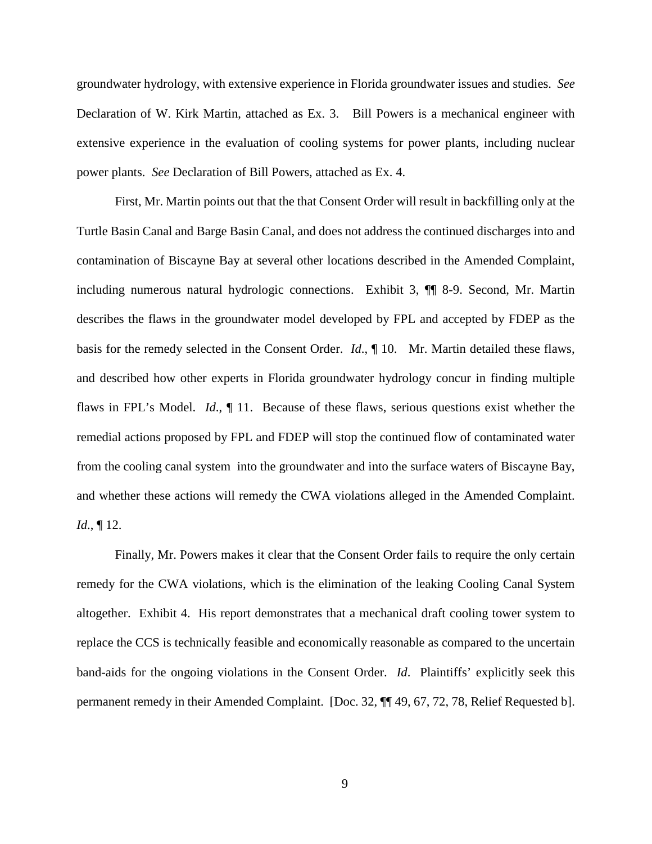groundwater hydrology, with extensive experience in Florida groundwater issues and studies. *See* Declaration of W. Kirk Martin, attached as Ex. 3. Bill Powers is a mechanical engineer with extensive experience in the evaluation of cooling systems for power plants, including nuclear power plants. *See* Declaration of Bill Powers, attached as Ex. 4.

First, Mr. Martin points out that the that Consent Order will result in backfilling only at the Turtle Basin Canal and Barge Basin Canal, and does not address the continued discharges into and contamination of Biscayne Bay at several other locations described in the Amended Complaint, including numerous natural hydrologic connections. Exhibit 3, ¶¶ 8-9. Second, Mr. Martin describes the flaws in the groundwater model developed by FPL and accepted by FDEP as the basis for the remedy selected in the Consent Order. *Id*., ¶ 10. Mr. Martin detailed these flaws, and described how other experts in Florida groundwater hydrology concur in finding multiple flaws in FPL's Model. *Id*., ¶ 11. Because of these flaws, serious questions exist whether the remedial actions proposed by FPL and FDEP will stop the continued flow of contaminated water from the cooling canal system into the groundwater and into the surface waters of Biscayne Bay, and whether these actions will remedy the CWA violations alleged in the Amended Complaint. *Id*., ¶ 12.

Finally, Mr. Powers makes it clear that the Consent Order fails to require the only certain remedy for the CWA violations, which is the elimination of the leaking Cooling Canal System altogether. Exhibit 4. His report demonstrates that a mechanical draft cooling tower system to replace the CCS is technically feasible and economically reasonable as compared to the uncertain band-aids for the ongoing violations in the Consent Order. *Id*. Plaintiffs' explicitly seek this permanent remedy in their Amended Complaint. [Doc. 32, ¶¶ 49, 67, 72, 78, Relief Requested b].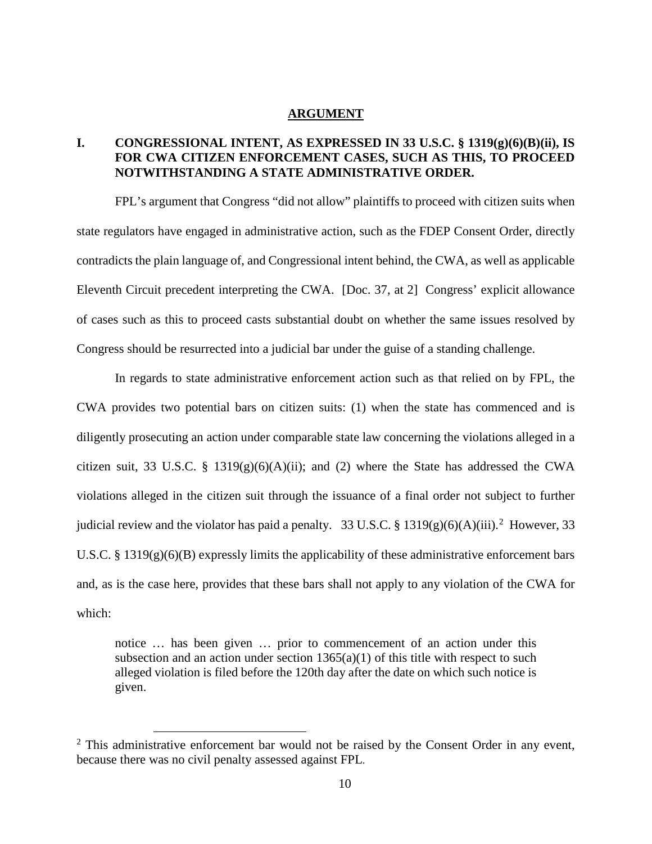#### **ARGUMENT**

# **I. CONGRESSIONAL INTENT, AS EXPRESSED IN 33 U.S.C. § 1319(g)(6)(B)(ii), IS FOR CWA CITIZEN ENFORCEMENT CASES, SUCH AS THIS, TO PROCEED NOTWITHSTANDING A STATE ADMINISTRATIVE ORDER.**

FPL's argument that Congress "did not allow" plaintiffs to proceed with citizen suits when state regulators have engaged in administrative action, such as the FDEP Consent Order, directly contradicts the plain language of, and Congressional intent behind, the CWA, as well as applicable Eleventh Circuit precedent interpreting the CWA. [Doc. 37, at 2] Congress' explicit allowance of cases such as this to proceed casts substantial doubt on whether the same issues resolved by Congress should be resurrected into a judicial bar under the guise of a standing challenge.

In regards to state administrative enforcement action such as that relied on by FPL, the CWA provides two potential bars on citizen suits: (1) when the state has commenced and is diligently prosecuting an action under comparable state law concerning the violations alleged in a citizen suit, 33 U.S.C. § 1319 $(g)(6)(A)(ii)$ ; and (2) where the State has addressed the CWA violations alleged in the citizen suit through the issuance of a final order not subject to further judicial review and the violator has paid a penalty. 33 U.S.C. § 1319(g)(6)(A)(iii).<sup>[2](#page-9-0)</sup> However, 33 U.S.C. § 1319(g)(6)(B) expressly limits the applicability of these administrative enforcement bars and, as is the case here, provides that these bars shall not apply to any violation of the CWA for which:

notice … has been given … prior to commencement of an action under this subsection and an action under section  $1365(a)(1)$  of this title with respect to such alleged violation is filed before the 120th day after the date on which such notice is given.

<span id="page-9-0"></span> $2$  This administrative enforcement bar would not be raised by the Consent Order in any event, because there was no civil penalty assessed against FPL.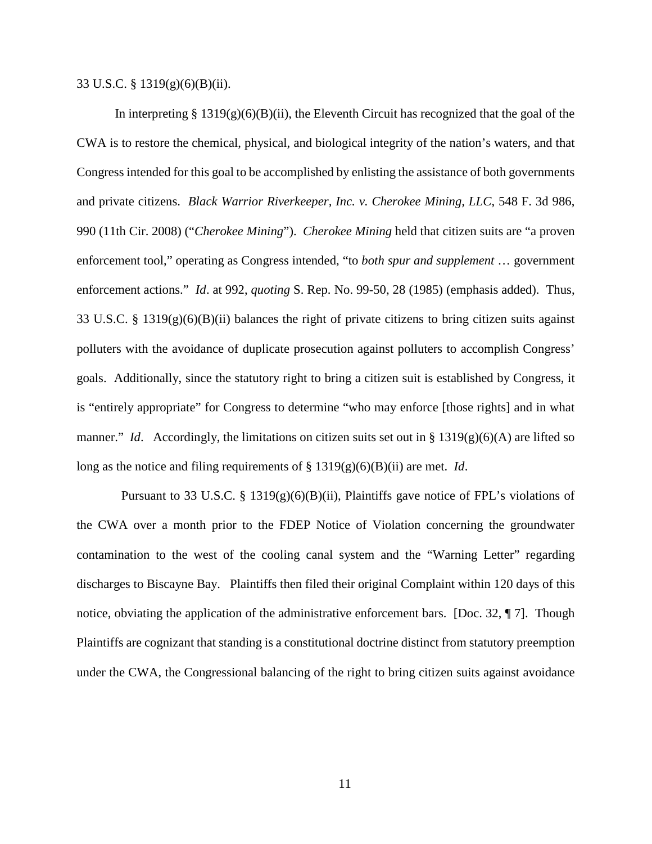33 U.S.C. § 1319(g)(6)(B)(ii).

In interpreting § 1319 $(g)(6)(B)(ii)$ , the Eleventh Circuit has recognized that the goal of the CWA is to restore the chemical, physical, and biological integrity of the nation's waters, and that Congress intended for this goal to be accomplished by enlisting the assistance of both governments and private citizens. *Black Warrior Riverkeeper, Inc. v. Cherokee Mining, LLC*, 548 F. 3d 986, 990 (11th Cir. 2008) ("*Cherokee Mining*"). *Cherokee Mining* held that citizen suits are "a proven enforcement tool," operating as Congress intended, "to *both spur and supplement* … government enforcement actions." *Id*. at 992, *quoting* S. Rep. No. 99-50, 28 (1985) (emphasis added). Thus, 33 U.S.C. § 1319 $(g)(6)(B)(ii)$  balances the right of private citizens to bring citizen suits against polluters with the avoidance of duplicate prosecution against polluters to accomplish Congress' goals. Additionally, since the statutory right to bring a citizen suit is established by Congress, it is "entirely appropriate" for Congress to determine "who may enforce [those rights] and in what manner." *Id.* Accordingly, the limitations on citizen suits set out in § 1319(g)(6)(A) are lifted so long as the notice and filing requirements of § 1319(g)(6)(B)(ii) are met. *Id*.

Pursuant to 33 U.S.C. § 1319(g)(6)(B)(ii), Plaintiffs gave notice of FPL's violations of the CWA over a month prior to the FDEP Notice of Violation concerning the groundwater contamination to the west of the cooling canal system and the "Warning Letter" regarding discharges to Biscayne Bay. Plaintiffs then filed their original Complaint within 120 days of this notice, obviating the application of the administrative enforcement bars. [Doc. 32, ¶ 7]. Though Plaintiffs are cognizant that standing is a constitutional doctrine distinct from statutory preemption under the CWA, the Congressional balancing of the right to bring citizen suits against avoidance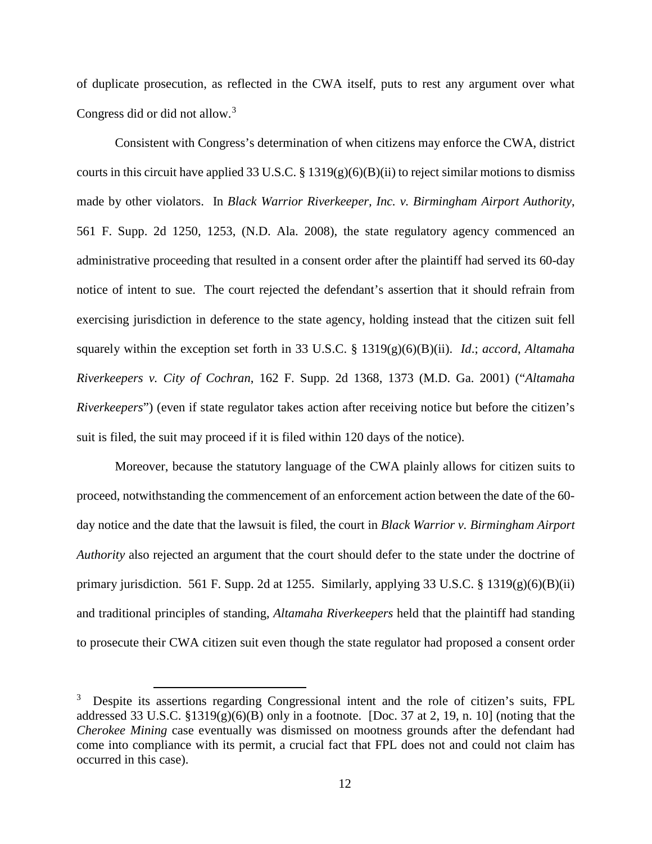of duplicate prosecution, as reflected in the CWA itself, puts to rest any argument over what Congress did or did not allow.<sup>[3](#page-11-0)</sup>

Consistent with Congress's determination of when citizens may enforce the CWA, district courts in this circuit have applied 33 U.S.C. §  $1319(g)(6)(B)(ii)$  to reject similar motions to dismiss made by other violators. In *Black Warrior Riverkeeper, Inc. v. Birmingham Airport Authority*, 561 F. Supp. 2d 1250, 1253, (N.D. Ala. 2008), the state regulatory agency commenced an administrative proceeding that resulted in a consent order after the plaintiff had served its 60-day notice of intent to sue. The court rejected the defendant's assertion that it should refrain from exercising jurisdiction in deference to the state agency, holding instead that the citizen suit fell squarely within the exception set forth in 33 U.S.C. § 1319(g)(6)(B)(ii). *Id*.; *accord*, *Altamaha Riverkeepers v. City of Cochran*, 162 F. Supp. 2d 1368, 1373 (M.D. Ga. 2001) ("*Altamaha Riverkeepers*") (even if state regulator takes action after receiving notice but before the citizen's suit is filed, the suit may proceed if it is filed within 120 days of the notice).

Moreover, because the statutory language of the CWA plainly allows for citizen suits to proceed, notwithstanding the commencement of an enforcement action between the date of the 60 day notice and the date that the lawsuit is filed, the court in *Black Warrior v. Birmingham Airport Authority* also rejected an argument that the court should defer to the state under the doctrine of primary jurisdiction. 561 F. Supp. 2d at 1255. Similarly, applying 33 U.S.C.  $\S$  1319(g)(6)(B)(ii) and traditional principles of standing, *Altamaha Riverkeepers* held that the plaintiff had standing to prosecute their CWA citizen suit even though the state regulator had proposed a consent order

<span id="page-11-0"></span><sup>&</sup>lt;sup>3</sup> Despite its assertions regarding Congressional intent and the role of citizen's suits, FPL addressed 33 U.S.C. §1319 $(g)(6)(B)$  only in a footnote. [Doc. 37 at 2, 19, n. 10] (noting that the *Cherokee Mining* case eventually was dismissed on mootness grounds after the defendant had come into compliance with its permit, a crucial fact that FPL does not and could not claim has occurred in this case).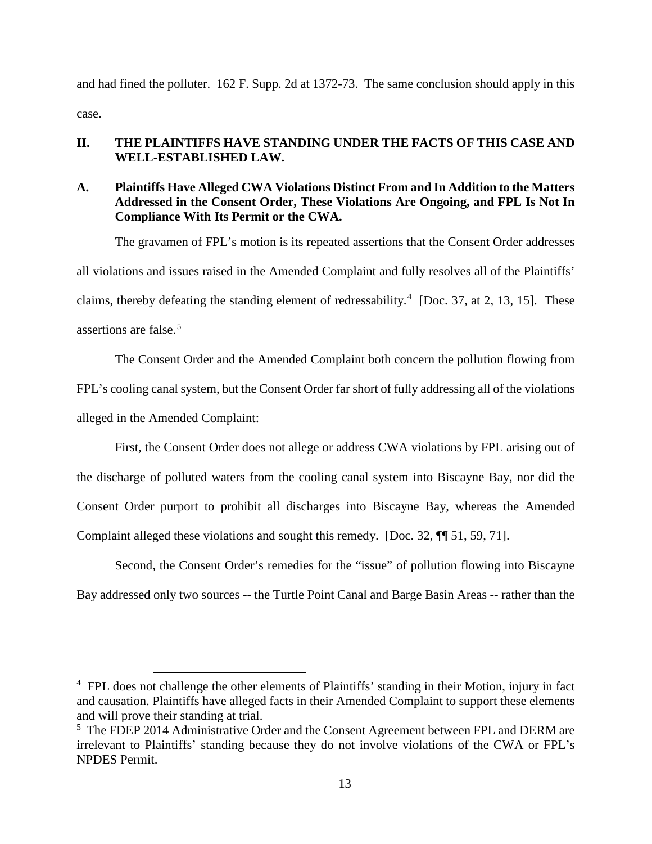and had fined the polluter. 162 F. Supp. 2d at 1372-73. The same conclusion should apply in this case.

# **II. THE PLAINTIFFS HAVE STANDING UNDER THE FACTS OF THIS CASE AND WELL-ESTABLISHED LAW.**

# **A. Plaintiffs Have Alleged CWA Violations Distinct From and In Addition to the Matters Addressed in the Consent Order, These Violations Are Ongoing, and FPL Is Not In Compliance With Its Permit or the CWA.**

The gravamen of FPL's motion is its repeated assertions that the Consent Order addresses all violations and issues raised in the Amended Complaint and fully resolves all of the Plaintiffs' claims, thereby defeating the standing element of redressability. [4](#page-12-0) [Doc. 37, at 2, 13, 15]. These assertions are false.<sup>[5](#page-12-1)</sup>

The Consent Order and the Amended Complaint both concern the pollution flowing from FPL's cooling canal system, but the Consent Order far short of fully addressing all of the violations alleged in the Amended Complaint:

First, the Consent Order does not allege or address CWA violations by FPL arising out of the discharge of polluted waters from the cooling canal system into Biscayne Bay, nor did the Consent Order purport to prohibit all discharges into Biscayne Bay, whereas the Amended Complaint alleged these violations and sought this remedy. [Doc. 32, ¶¶ 51, 59, 71].

Second, the Consent Order's remedies for the "issue" of pollution flowing into Biscayne Bay addressed only two sources -- the Turtle Point Canal and Barge Basin Areas -- rather than the

<span id="page-12-0"></span><sup>&</sup>lt;sup>4</sup> FPL does not challenge the other elements of Plaintiffs' standing in their Motion, injury in fact and causation. Plaintiffs have alleged facts in their Amended Complaint to support these elements and will prove their standing at trial.

<span id="page-12-1"></span><sup>&</sup>lt;sup>5</sup> The FDEP 2014 Administrative Order and the Consent Agreement between FPL and DERM are irrelevant to Plaintiffs' standing because they do not involve violations of the CWA or FPL's NPDES Permit.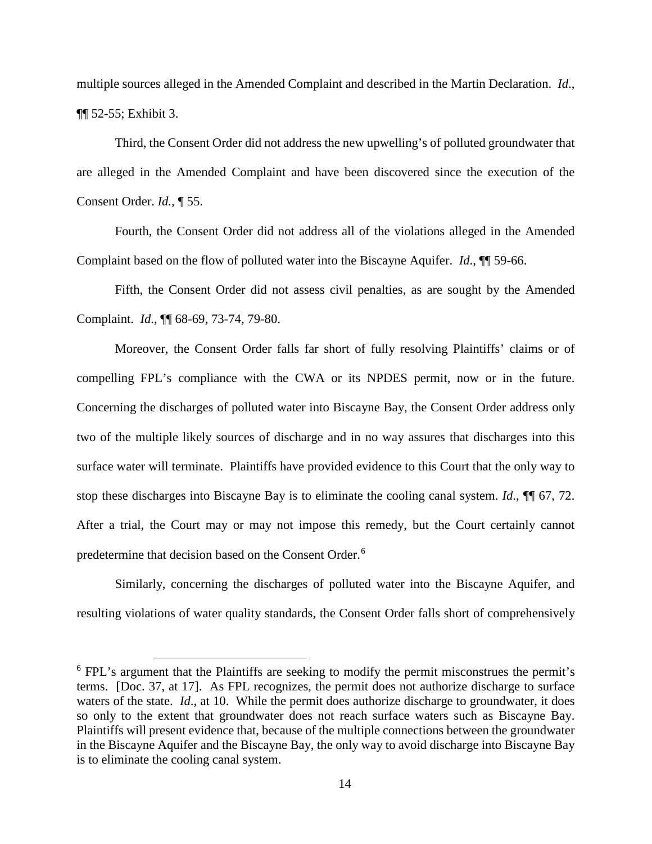multiple sources alleged in the Amended Complaint and described in the Martin Declaration. *Id*., ¶¶ 52-55; Exhibit 3.

Third, the Consent Order did not address the new upwelling's of polluted groundwater that are alleged in the Amended Complaint and have been discovered since the execution of the Consent Order. *Id.,* ¶ 55.

Fourth, the Consent Order did not address all of the violations alleged in the Amended Complaint based on the flow of polluted water into the Biscayne Aquifer. *Id*., ¶¶ 59-66.

Fifth, the Consent Order did not assess civil penalties, as are sought by the Amended Complaint. *Id*., ¶¶ 68-69, 73-74, 79-80.

Moreover, the Consent Order falls far short of fully resolving Plaintiffs' claims or of compelling FPL's compliance with the CWA or its NPDES permit, now or in the future. Concerning the discharges of polluted water into Biscayne Bay, the Consent Order address only two of the multiple likely sources of discharge and in no way assures that discharges into this surface water will terminate. Plaintiffs have provided evidence to this Court that the only way to stop these discharges into Biscayne Bay is to eliminate the cooling canal system. *Id*., ¶¶ 67, 72. After a trial, the Court may or may not impose this remedy, but the Court certainly cannot predetermine that decision based on the Consent Order.<sup>[6](#page-13-0)</sup>

Similarly, concerning the discharges of polluted water into the Biscayne Aquifer, and resulting violations of water quality standards, the Consent Order falls short of comprehensively

<span id="page-13-0"></span><sup>&</sup>lt;sup>6</sup> FPL's argument that the Plaintiffs are seeking to modify the permit misconstrues the permit's terms. [Doc. 37, at 17]. As FPL recognizes, the permit does not authorize discharge to surface waters of the state. *Id.*, at 10. While the permit does authorize discharge to groundwater, it does so only to the extent that groundwater does not reach surface waters such as Biscayne Bay. Plaintiffs will present evidence that, because of the multiple connections between the groundwater in the Biscayne Aquifer and the Biscayne Bay, the only way to avoid discharge into Biscayne Bay is to eliminate the cooling canal system.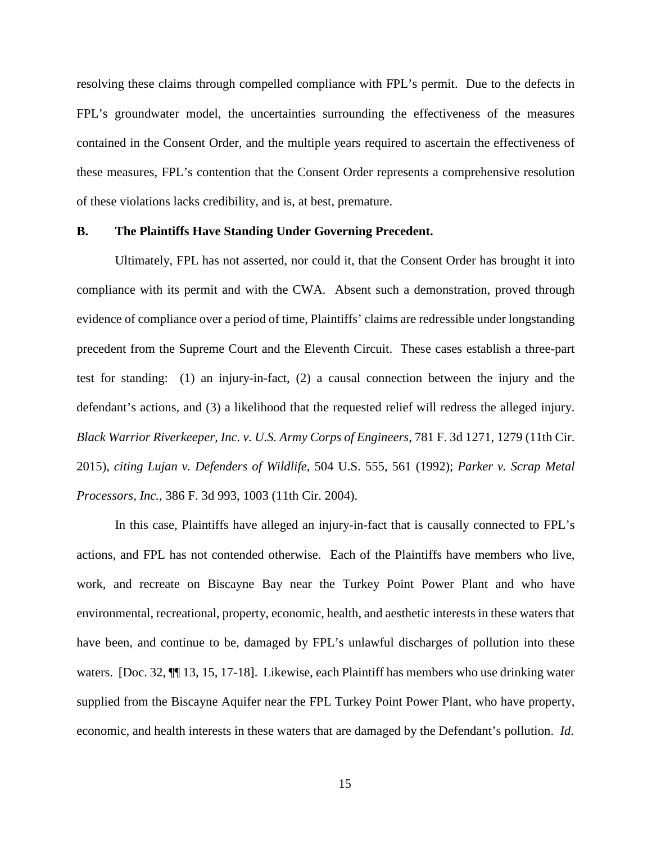resolving these claims through compelled compliance with FPL's permit. Due to the defects in FPL's groundwater model, the uncertainties surrounding the effectiveness of the measures contained in the Consent Order, and the multiple years required to ascertain the effectiveness of these measures, FPL's contention that the Consent Order represents a comprehensive resolution of these violations lacks credibility, and is, at best, premature.

### **B. The Plaintiffs Have Standing Under Governing Precedent.**

Ultimately, FPL has not asserted, nor could it, that the Consent Order has brought it into compliance with its permit and with the CWA. Absent such a demonstration, proved through evidence of compliance over a period of time, Plaintiffs' claims are redressible under longstanding precedent from the Supreme Court and the Eleventh Circuit. These cases establish a three-part test for standing: (1) an injury-in-fact, (2) a causal connection between the injury and the defendant's actions, and (3) a likelihood that the requested relief will redress the alleged injury. *Black Warrior Riverkeeper, Inc. v. U.S. Army Corps of Engineers*, 781 F. 3d 1271, 1279 (11th Cir. 2015), *citing Lujan v. Defenders of Wildlife*, 504 U.S. 555, 561 (1992); *Parker v. Scrap Metal Processors, Inc.*, 386 F. 3d 993, 1003 (11th Cir. 2004).

In this case, Plaintiffs have alleged an injury-in-fact that is causally connected to FPL's actions, and FPL has not contended otherwise. Each of the Plaintiffs have members who live, work, and recreate on Biscayne Bay near the Turkey Point Power Plant and who have environmental, recreational, property, economic, health, and aesthetic interests in these waters that have been, and continue to be, damaged by FPL's unlawful discharges of pollution into these waters. [Doc. 32,  $\P$ ] 13, 15, 17-18]. Likewise, each Plaintiff has members who use drinking water supplied from the Biscayne Aquifer near the FPL Turkey Point Power Plant, who have property, economic, and health interests in these waters that are damaged by the Defendant's pollution. *Id*.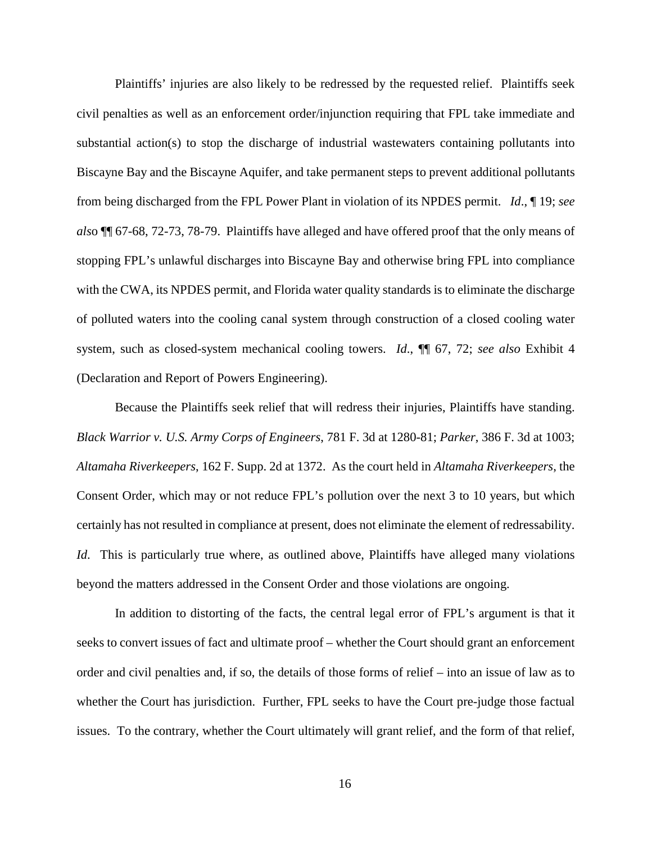Plaintiffs' injuries are also likely to be redressed by the requested relief. Plaintiffs seek civil penalties as well as an enforcement order/injunction requiring that FPL take immediate and substantial action(s) to stop the discharge of industrial wastewaters containing pollutants into Biscayne Bay and the Biscayne Aquifer, and take permanent steps to prevent additional pollutants from being discharged from the FPL Power Plant in violation of its NPDES permit. *Id*., ¶ 19; *see als*o ¶¶ 67-68, 72-73, 78-79. Plaintiffs have alleged and have offered proof that the only means of stopping FPL's unlawful discharges into Biscayne Bay and otherwise bring FPL into compliance with the CWA, its NPDES permit, and Florida water quality standards is to eliminate the discharge of polluted waters into the cooling canal system through construction of a closed cooling water system, such as closed-system mechanical cooling towers. *Id*., ¶¶ 67, 72; *see also* Exhibit 4 (Declaration and Report of Powers Engineering).

Because the Plaintiffs seek relief that will redress their injuries, Plaintiffs have standing. *Black Warrior v. U.S. Army Corps of Engineers*, 781 F. 3d at 1280-81; *Parker*, 386 F. 3d at 1003; *Altamaha Riverkeepers*, 162 F. Supp. 2d at 1372. As the court held in *Altamaha Riverkeepers*, the Consent Order, which may or not reduce FPL's pollution over the next 3 to 10 years, but which certainly has not resulted in compliance at present, does not eliminate the element of redressability. *Id*. This is particularly true where, as outlined above, Plaintiffs have alleged many violations beyond the matters addressed in the Consent Order and those violations are ongoing.

In addition to distorting of the facts, the central legal error of FPL's argument is that it seeks to convert issues of fact and ultimate proof – whether the Court should grant an enforcement order and civil penalties and, if so, the details of those forms of relief – into an issue of law as to whether the Court has jurisdiction. Further, FPL seeks to have the Court pre-judge those factual issues. To the contrary, whether the Court ultimately will grant relief, and the form of that relief,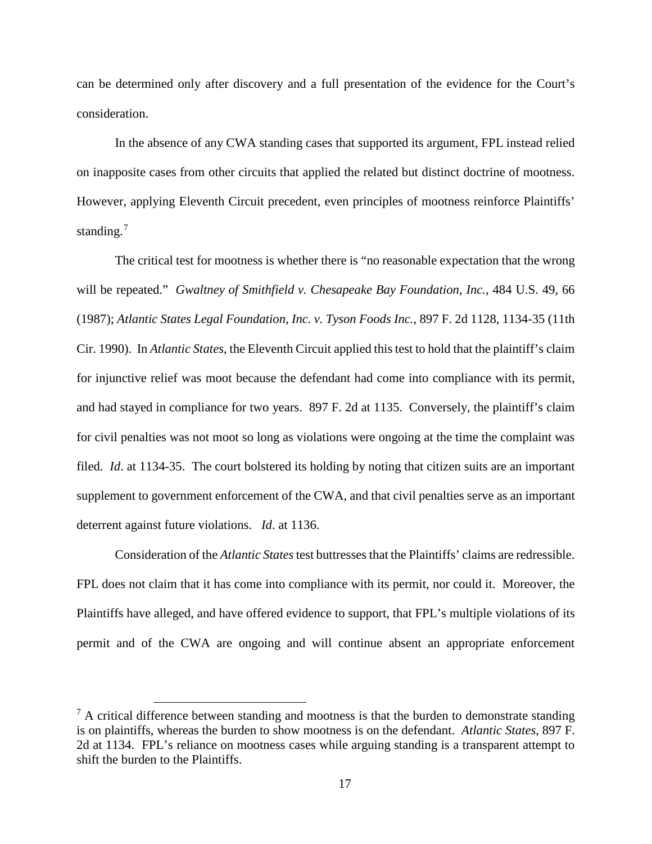can be determined only after discovery and a full presentation of the evidence for the Court's consideration.

In the absence of any CWA standing cases that supported its argument, FPL instead relied on inapposite cases from other circuits that applied the related but distinct doctrine of mootness. However, applying Eleventh Circuit precedent, even principles of mootness reinforce Plaintiffs' standing.<sup>[7](#page-16-0)</sup>

The critical test for mootness is whether there is "no reasonable expectation that the wrong will be repeated." *Gwaltney of Smithfield v. Chesapeake Bay Foundation, Inc.*, 484 U.S. 49, 66 (1987); *Atlantic States Legal Foundation, Inc. v. Tyson Foods Inc.*, 897 F. 2d 1128, 1134-35 (11th Cir. 1990). In *Atlantic States*, the Eleventh Circuit applied this test to hold that the plaintiff's claim for injunctive relief was moot because the defendant had come into compliance with its permit, and had stayed in compliance for two years. 897 F. 2d at 1135. Conversely, the plaintiff's claim for civil penalties was not moot so long as violations were ongoing at the time the complaint was filed. *Id*. at 1134-35. The court bolstered its holding by noting that citizen suits are an important supplement to government enforcement of the CWA, and that civil penalties serve as an important deterrent against future violations. *Id*. at 1136.

Consideration of the *Atlantic States*test buttresses that the Plaintiffs' claims are redressible. FPL does not claim that it has come into compliance with its permit, nor could it. Moreover, the Plaintiffs have alleged, and have offered evidence to support, that FPL's multiple violations of its permit and of the CWA are ongoing and will continue absent an appropriate enforcement

<span id="page-16-0"></span> $<sup>7</sup>$  A critical difference between standing and mootness is that the burden to demonstrate standing</sup> is on plaintiffs, whereas the burden to show mootness is on the defendant. *Atlantic States*, 897 F. 2d at 1134. FPL's reliance on mootness cases while arguing standing is a transparent attempt to shift the burden to the Plaintiffs.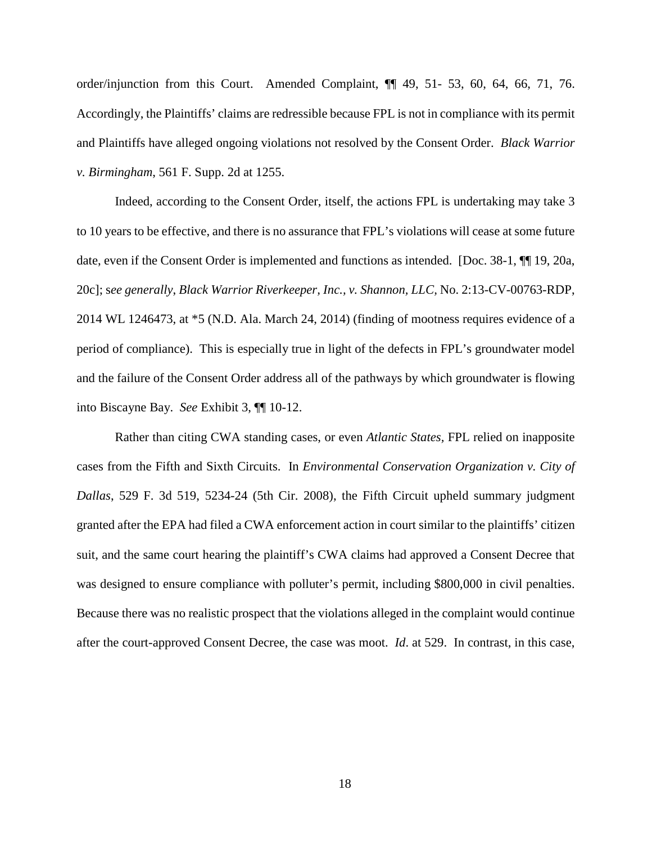order/injunction from this Court. Amended Complaint, ¶¶ 49, 51- 53, 60, 64, 66, 71, 76. Accordingly, the Plaintiffs' claims are redressible because FPL is not in compliance with its permit and Plaintiffs have alleged ongoing violations not resolved by the Consent Order. *Black Warrior v. Birmingham*, 561 F. Supp. 2d at 1255.

Indeed, according to the Consent Order, itself, the actions FPL is undertaking may take 3 to 10 years to be effective, and there is no assurance that FPL's violations will cease at some future date, even if the Consent Order is implemented and functions as intended. [Doc. 38-1, ¶¶ 19, 20a, 20c]; s*ee generally*, *Black Warrior Riverkeeper, Inc., v. Shannon, LLC,* No. 2:13-CV-00763-RDP, 2014 WL 1246473, at \*5 (N.D. Ala. March 24, 2014) (finding of mootness requires evidence of a period of compliance). This is especially true in light of the defects in FPL's groundwater model and the failure of the Consent Order address all of the pathways by which groundwater is flowing into Biscayne Bay. *See* Exhibit 3, ¶¶ 10-12.

Rather than citing CWA standing cases, or even *Atlantic States,* FPL relied on inapposite cases from the Fifth and Sixth Circuits. In *Environmental Conservation Organization v. City of Dallas*, 529 F. 3d 519, 5234-24 (5th Cir. 2008), the Fifth Circuit upheld summary judgment granted after the EPA had filed a CWA enforcement action in court similar to the plaintiffs' citizen suit, and the same court hearing the plaintiff's CWA claims had approved a Consent Decree that was designed to ensure compliance with polluter's permit, including \$800,000 in civil penalties. Because there was no realistic prospect that the violations alleged in the complaint would continue after the court-approved Consent Decree, the case was moot. *Id*. at 529. In contrast, in this case,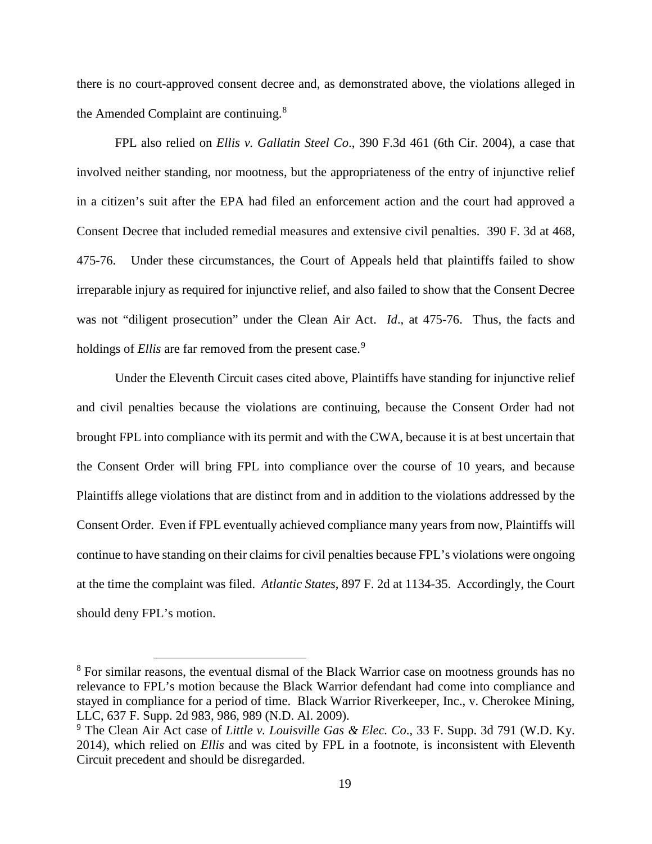there is no court-approved consent decree and, as demonstrated above, the violations alleged in the Amended Complaint are continuing.<sup>[8](#page-18-0)</sup>

FPL also relied on *Ellis v. Gallatin Steel Co*., 390 F.3d 461 (6th Cir. 2004), a case that involved neither standing, nor mootness, but the appropriateness of the entry of injunctive relief in a citizen's suit after the EPA had filed an enforcement action and the court had approved a Consent Decree that included remedial measures and extensive civil penalties. 390 F. 3d at 468, 475-76. Under these circumstances, the Court of Appeals held that plaintiffs failed to show irreparable injury as required for injunctive relief, and also failed to show that the Consent Decree was not "diligent prosecution" under the Clean Air Act. *Id*., at 475-76. Thus, the facts and holdings of *Ellis* are far removed from the present case.<sup>[9](#page-18-1)</sup>

Under the Eleventh Circuit cases cited above, Plaintiffs have standing for injunctive relief and civil penalties because the violations are continuing, because the Consent Order had not brought FPL into compliance with its permit and with the CWA, because it is at best uncertain that the Consent Order will bring FPL into compliance over the course of 10 years, and because Plaintiffs allege violations that are distinct from and in addition to the violations addressed by the Consent Order. Even if FPL eventually achieved compliance many years from now, Plaintiffs will continue to have standing on their claims for civil penalties because FPL's violations were ongoing at the time the complaint was filed. *Atlantic States*, 897 F. 2d at 1134-35. Accordingly, the Court should deny FPL's motion.

<span id="page-18-0"></span><sup>&</sup>lt;sup>8</sup> For similar reasons, the eventual dismal of the Black Warrior case on mootness grounds has no relevance to FPL's motion because the Black Warrior defendant had come into compliance and stayed in compliance for a period of time. Black Warrior Riverkeeper, Inc., v. Cherokee Mining, LLC, 637 F. Supp. 2d 983, 986, 989 (N.D. Al. 2009).

<span id="page-18-1"></span><sup>9</sup> The Clean Air Act case of *Little v. Louisville Gas & Elec. Co*., 33 F. Supp. 3d 791 (W.D. Ky. 2014), which relied on *Ellis* and was cited by FPL in a footnote, is inconsistent with Eleventh Circuit precedent and should be disregarded.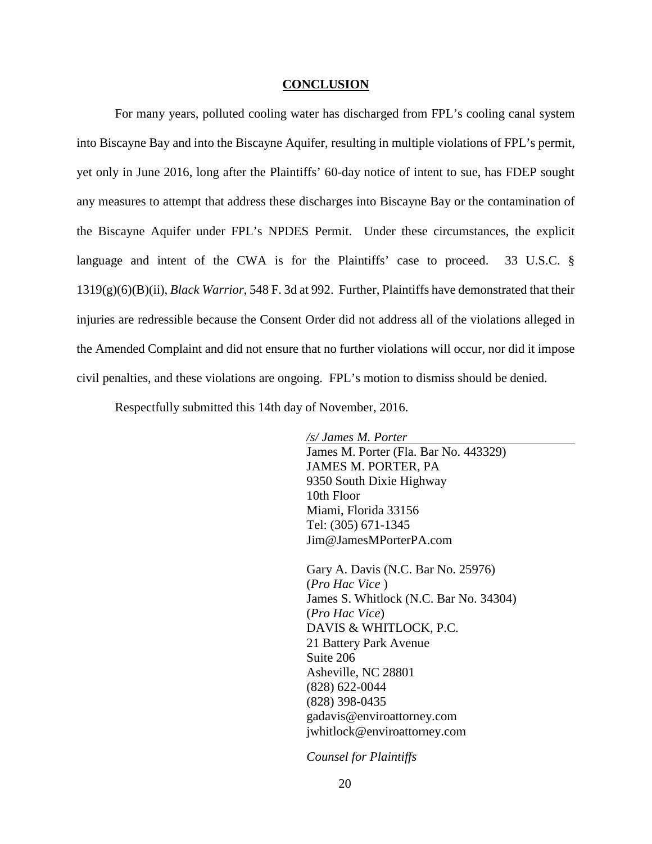#### **CONCLUSION**

For many years, polluted cooling water has discharged from FPL's cooling canal system into Biscayne Bay and into the Biscayne Aquifer, resulting in multiple violations of FPL's permit, yet only in June 2016, long after the Plaintiffs' 60-day notice of intent to sue, has FDEP sought any measures to attempt that address these discharges into Biscayne Bay or the contamination of the Biscayne Aquifer under FPL's NPDES Permit. Under these circumstances, the explicit language and intent of the CWA is for the Plaintiffs' case to proceed. 33 U.S.C. § 1319(g)(6)(B)(ii), *Black Warrior*, 548 F. 3d at 992. Further, Plaintiffs have demonstrated that their injuries are redressible because the Consent Order did not address all of the violations alleged in the Amended Complaint and did not ensure that no further violations will occur, nor did it impose civil penalties, and these violations are ongoing. FPL's motion to dismiss should be denied.

Respectfully submitted this 14th day of November, 2016.

*/s/ James M. Porter* James M. Porter (Fla. Bar No. 443329) JAMES M. PORTER, PA 9350 South Dixie Highway 10th Floor Miami, Florida 33156 Tel: (305) 671-1345 Jim@JamesMPorterPA.com

Gary A. Davis (N.C. Bar No. 25976) (*Pro Hac Vice* ) James S. Whitlock (N.C. Bar No. 34304) (*Pro Hac Vice*) DAVIS & WHITLOCK, P.C. 21 Battery Park Avenue Suite 206 Asheville, NC 28801 (828) 622-0044 (828) 398-0435 gadavis@enviroattorney.com jwhitlock@enviroattorney.com

*Counsel for Plaintiffs*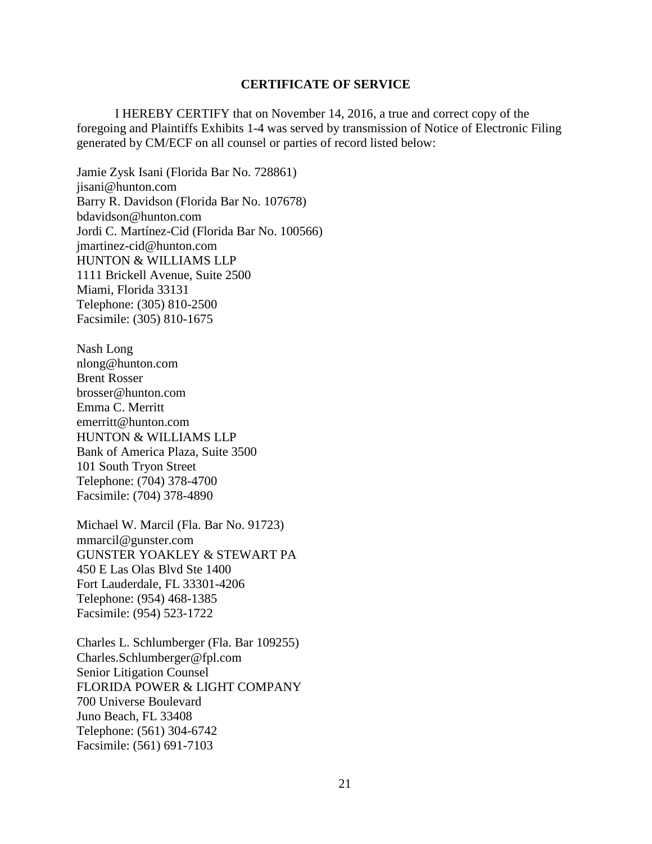### **CERTIFICATE OF SERVICE**

I HEREBY CERTIFY that on November 14, 2016, a true and correct copy of the foregoing and Plaintiffs Exhibits 1-4 was served by transmission of Notice of Electronic Filing generated by CM/ECF on all counsel or parties of record listed below:

Jamie Zysk Isani (Florida Bar No. 728861) jisani@hunton.com Barry R. Davidson (Florida Bar No. 107678) bdavidson@hunton.com Jordi C. Martínez-Cid (Florida Bar No. 100566) jmartinez-cid@hunton.com HUNTON & WILLIAMS LLP 1111 Brickell Avenue, Suite 2500 Miami, Florida 33131 Telephone: (305) 810-2500 Facsimile: (305) 810-1675

Nash Long nlong@hunton.com Brent Rosser brosser@hunton.com Emma C. Merritt emerritt@hunton.com HUNTON & WILLIAMS LLP Bank of America Plaza, Suite 3500 101 South Tryon Street Telephone: (704) 378-4700 Facsimile: (704) 378-4890

Michael W. Marcil (Fla. Bar No. 91723) mmarcil@gunster.com GUNSTER YOAKLEY & STEWART PA 450 E Las Olas Blvd Ste 1400 Fort Lauderdale, FL 33301-4206 Telephone: (954) 468-1385 Facsimile: (954) 523-1722

Charles L. Schlumberger (Fla. Bar 109255) Charles.Schlumberger@fpl.com Senior Litigation Counsel FLORIDA POWER & LIGHT COMPANY 700 Universe Boulevard Juno Beach, FL 33408 Telephone: (561) 304-6742 Facsimile: (561) 691-7103